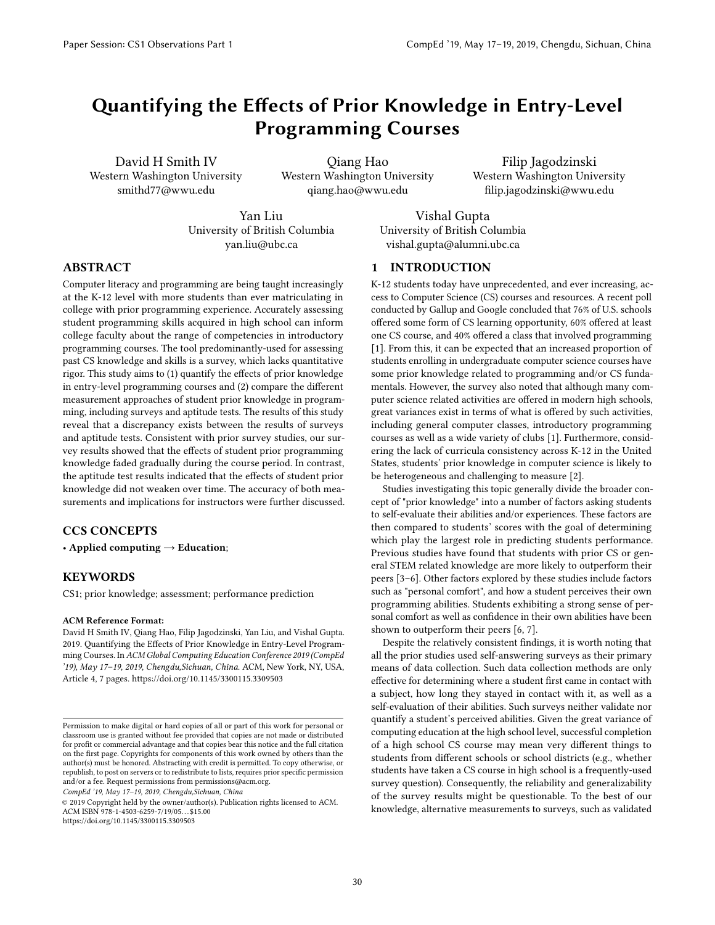# Quantifying the Effects of Prior Knowledge in Entry-Level Programming Courses

David H Smith IV Western Washington University smithd77@wwu.edu

Qiang Hao Western Washington University qiang.hao@wwu.edu

Filip Jagodzinski Western Washington University filip.jagodzinski@wwu.edu

Yan Liu University of British Columbia yan.liu@ubc.ca

Vishal Gupta University of British Columbia vishal.gupta@alumni.ubc.ca

# ABSTRACT

Computer literacy and programming are being taught increasingly at the K-12 level with more students than ever matriculating in college with prior programming experience. Accurately assessing student programming skills acquired in high school can inform college faculty about the range of competencies in introductory programming courses. The tool predominantly-used for assessing past CS knowledge and skills is a survey, which lacks quantitative rigor. This study aims to (1) quantify the effects of prior knowledge in entry-level programming courses and (2) compare the different measurement approaches of student prior knowledge in programming, including surveys and aptitude tests. The results of this study reveal that a discrepancy exists between the results of surveys and aptitude tests. Consistent with prior survey studies, our survey results showed that the effects of student prior programming knowledge faded gradually during the course period. In contrast, the aptitude test results indicated that the effects of student prior knowledge did not weaken over time. The accuracy of both measurements and implications for instructors were further discussed.

# CCS CONCEPTS

• Applied computing  $\rightarrow$  Education;

# **KEYWORDS**

CS1; prior knowledge; assessment; performance prediction

#### ACM Reference Format:

David H Smith IV, Qiang Hao, Filip Jagodzinski, Yan Liu, and Vishal Gupta. 2019. Quantifying the Effects of Prior Knowledge in Entry-Level Programming Courses. In ACM Global Computing Education Conference 2019 (CompEd '19), May 17–19, 2019, Chengdu,Sichuan, China. ACM, New York, NY, USA, Article 4, [7](#page-6-0) pages.<https://doi.org/10.1145/3300115.3309503>

CompEd '19, May 17–19, 2019, Chengdu,Sichuan, China

© 2019 Copyright held by the owner/author(s). Publication rights licensed to ACM. ACM ISBN 978-1-4503-6259-7/19/05. . . \$15.00

<https://doi.org/10.1145/3300115.3309503>

# 1 INTRODUCTION

K-12 students today have unprecedented, and ever increasing, access to Computer Science (CS) courses and resources. A recent poll conducted by Gallup and Google concluded that 76% of U.S. schools offered some form of CS learning opportunity, 60% offered at least one CS course, and 40% offered a class that involved programming [\[1\]](#page-5-0). From this, it can be expected that an increased proportion of students enrolling in undergraduate computer science courses have some prior knowledge related to programming and/or CS fundamentals. However, the survey also noted that although many computer science related activities are offered in modern high schools, great variances exist in terms of what is offered by such activities, including general computer classes, introductory programming courses as well as a wide variety of clubs [\[1\]](#page-5-0). Furthermore, considering the lack of curricula consistency across K-12 in the United States, students' prior knowledge in computer science is likely to be heterogeneous and challenging to measure [\[2\]](#page-5-1).

Studies investigating this topic generally divide the broader concept of "prior knowledge" into a number of factors asking students to self-evaluate their abilities and/or experiences. These factors are then compared to students' scores with the goal of determining which play the largest role in predicting students performance. Previous studies have found that students with prior CS or general STEM related knowledge are more likely to outperform their peers [\[3–](#page-5-2)[6\]](#page-5-3). Other factors explored by these studies include factors such as "personal comfort", and how a student perceives their own programming abilities. Students exhibiting a strong sense of personal comfort as well as confidence in their own abilities have been shown to outperform their peers [\[6,](#page-5-3) [7\]](#page-5-4).

Despite the relatively consistent findings, it is worth noting that all the prior studies used self-answering surveys as their primary means of data collection. Such data collection methods are only effective for determining where a student first came in contact with a subject, how long they stayed in contact with it, as well as a self-evaluation of their abilities. Such surveys neither validate nor quantify a student's perceived abilities. Given the great variance of computing education at the high school level, successful completion of a high school CS course may mean very different things to students from different schools or school districts (e.g., whether students have taken a CS course in high school is a frequently-used survey question). Consequently, the reliability and generalizability of the survey results might be questionable. To the best of our knowledge, alternative measurements to surveys, such as validated

Permission to make digital or hard copies of all or part of this work for personal or classroom use is granted without fee provided that copies are not made or distributed for profit or commercial advantage and that copies bear this notice and the full citation on the first page. Copyrights for components of this work owned by others than the author(s) must be honored. Abstracting with credit is permitted. To copy otherwise, or republish, to post on servers or to redistribute to lists, requires prior specific permission and/or a fee. Request permissions from permissions@acm.org.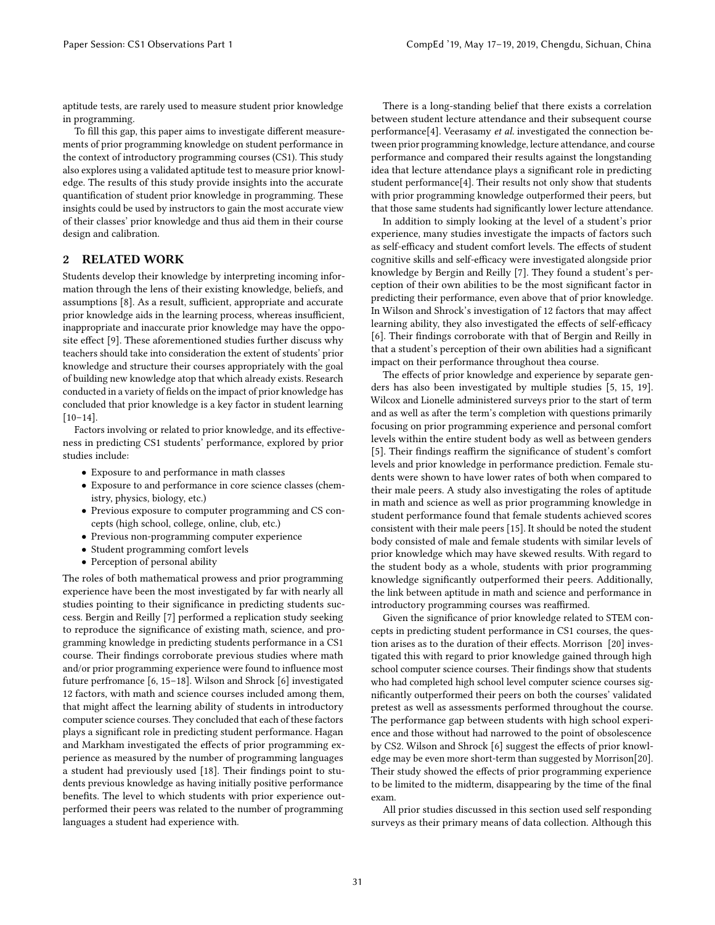aptitude tests, are rarely used to measure student prior knowledge in programming.

To fill this gap, this paper aims to investigate different measurements of prior programming knowledge on student performance in the context of introductory programming courses (CS1). This study also explores using a validated aptitude test to measure prior knowledge. The results of this study provide insights into the accurate quantification of student prior knowledge in programming. These insights could be used by instructors to gain the most accurate view of their classes' prior knowledge and thus aid them in their course design and calibration.

# 2 RELATED WORK

Students develop their knowledge by interpreting incoming information through the lens of their existing knowledge, beliefs, and assumptions [\[8\]](#page-5-5). As a result, sufficient, appropriate and accurate prior knowledge aids in the learning process, whereas insufficient, inappropriate and inaccurate prior knowledge may have the opposite effect [\[9\]](#page-5-6). These aforementioned studies further discuss why teachers should take into consideration the extent of students' prior knowledge and structure their courses appropriately with the goal of building new knowledge atop that which already exists. Research conducted in a variety of fields on the impact of prior knowledge has concluded that prior knowledge is a key factor in student learning  $[10-14]$  $[10-14]$ .

Factors involving or related to prior knowledge, and its effectiveness in predicting CS1 students' performance, explored by prior studies include:

- Exposure to and performance in math classes
- Exposure to and performance in core science classes (chemistry, physics, biology, etc.)
- Previous exposure to computer programming and CS concepts (high school, college, online, club, etc.)
- Previous non-programming computer experience
- Student programming comfort levels
- Perception of personal ability

The roles of both mathematical prowess and prior programming experience have been the most investigated by far with nearly all studies pointing to their significance in predicting students success. Bergin and Reilly [\[7\]](#page-5-4) performed a replication study seeking to reproduce the significance of existing math, science, and programming knowledge in predicting students performance in a CS1 course. Their findings corroborate previous studies where math and/or prior programming experience were found to influence most future perfromance [\[6,](#page-5-3) [15–](#page-5-9)[18\]](#page-5-10). Wilson and Shrock [\[6\]](#page-5-3) investigated 12 factors, with math and science courses included among them, that might affect the learning ability of students in introductory computer science courses. They concluded that each of these factors plays a significant role in predicting student performance. Hagan and Markham investigated the effects of prior programming experience as measured by the number of programming languages a student had previously used [\[18\]](#page-5-10). Their findings point to students previous knowledge as having initially positive performance benefits. The level to which students with prior experience outperformed their peers was related to the number of programming languages a student had experience with.

There is a long-standing belief that there exists a correlation between student lecture attendance and their subsequent course performance[\[4\]](#page-5-11). Veerasamy et al. investigated the connection between prior programming knowledge, lecture attendance, and course performance and compared their results against the longstanding idea that lecture attendance plays a significant role in predicting student performance[\[4\]](#page-5-11). Their results not only show that students with prior programming knowledge outperformed their peers, but that those same students had significantly lower lecture attendance.

In addition to simply looking at the level of a student's prior experience, many studies investigate the impacts of factors such as self-efficacy and student comfort levels. The effects of student cognitive skills and self-efficacy were investigated alongside prior knowledge by Bergin and Reilly [\[7\]](#page-5-4). They found a student's perception of their own abilities to be the most significant factor in predicting their performance, even above that of prior knowledge. In Wilson and Shrock's investigation of 12 factors that may affect learning ability, they also investigated the effects of self-efficacy [\[6\]](#page-5-3). Their findings corroborate with that of Bergin and Reilly in that a student's perception of their own abilities had a significant impact on their performance throughout thea course.

The effects of prior knowledge and experience by separate genders has also been investigated by multiple studies [\[5,](#page-5-12) [15,](#page-5-9) [19\]](#page-5-13). Wilcox and Lionelle administered surveys prior to the start of term and as well as after the term's completion with questions primarily focusing on prior programming experience and personal comfort levels within the entire student body as well as between genders [\[5\]](#page-5-12). Their findings reaffirm the significance of student's comfort levels and prior knowledge in performance prediction. Female students were shown to have lower rates of both when compared to their male peers. A study also investigating the roles of aptitude in math and science as well as prior programming knowledge in student performance found that female students achieved scores consistent with their male peers [\[15\]](#page-5-9). It should be noted the student body consisted of male and female students with similar levels of prior knowledge which may have skewed results. With regard to the student body as a whole, students with prior programming knowledge significantly outperformed their peers. Additionally, the link between aptitude in math and science and performance in introductory programming courses was reaffirmed.

Given the significance of prior knowledge related to STEM concepts in predicting student performance in CS1 courses, the question arises as to the duration of their effects. Morrison [\[20\]](#page-5-14) investigated this with regard to prior knowledge gained through high school computer science courses. Their findings show that students who had completed high school level computer science courses significantly outperformed their peers on both the courses' validated pretest as well as assessments performed throughout the course. The performance gap between students with high school experience and those without had narrowed to the point of obsolescence by CS2. Wilson and Shrock [\[6\]](#page-5-3) suggest the effects of prior knowledge may be even more short-term than suggested by Morrison[\[20\]](#page-5-14). Their study showed the effects of prior programming experience to be limited to the midterm, disappearing by the time of the final exam.

All prior studies discussed in this section used self responding surveys as their primary means of data collection. Although this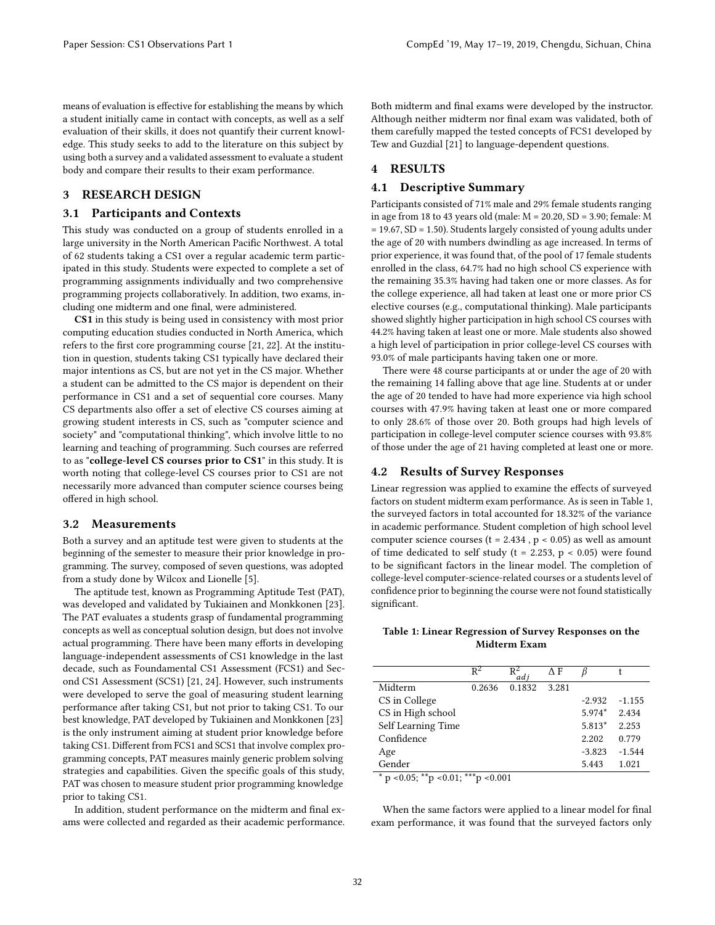means of evaluation is effective for establishing the means by which a student initially came in contact with concepts, as well as a self evaluation of their skills, it does not quantify their current knowledge. This study seeks to add to the literature on this subject by using both a survey and a validated assessment to evaluate a student body and compare their results to their exam performance.

# 3 RESEARCH DESIGN

### 3.1 Participants and Contexts

This study was conducted on a group of students enrolled in a large university in the North American Pacific Northwest. A total of 62 students taking a CS1 over a regular academic term participated in this study. Students were expected to complete a set of programming assignments individually and two comprehensive programming projects collaboratively. In addition, two exams, including one midterm and one final, were administered.

CS1 in this study is being used in consistency with most prior computing education studies conducted in North America, which refers to the first core programming course [\[21,](#page-5-15) [22\]](#page-5-16). At the institution in question, students taking CS1 typically have declared their major intentions as CS, but are not yet in the CS major. Whether a student can be admitted to the CS major is dependent on their performance in CS1 and a set of sequential core courses. Many CS departments also offer a set of elective CS courses aiming at growing student interests in CS, such as "computer science and society" and "computational thinking", which involve little to no learning and teaching of programming. Such courses are referred to as "college-level CS courses prior to CS1" in this study. It is worth noting that college-level CS courses prior to CS1 are not necessarily more advanced than computer science courses being offered in high school.

#### 3.2 Measurements

Both a survey and an aptitude test were given to students at the beginning of the semester to measure their prior knowledge in programming. The survey, composed of seven questions, was adopted from a study done by Wilcox and Lionelle [\[5\]](#page-5-12).

The aptitude test, known as Programming Aptitude Test (PAT), was developed and validated by Tukiainen and Monkkonen [\[23\]](#page-6-1). The PAT evaluates a students grasp of fundamental programming concepts as well as conceptual solution design, but does not involve actual programming. There have been many efforts in developing language-independent assessments of CS1 knowledge in the last decade, such as Foundamental CS1 Assessment (FCS1) and Second CS1 Assessment (SCS1) [\[21,](#page-5-15) [24\]](#page-6-2). However, such instruments were developed to serve the goal of measuring student learning performance after taking CS1, but not prior to taking CS1. To our best knowledge, PAT developed by Tukiainen and Monkkonen [\[23\]](#page-6-1) is the only instrument aiming at student prior knowledge before taking CS1. Different from FCS1 and SCS1 that involve complex programming concepts, PAT measures mainly generic problem solving strategies and capabilities. Given the specific goals of this study, PAT was chosen to measure student prior programming knowledge prior to taking CS1.

In addition, student performance on the midterm and final exams were collected and regarded as their academic performance.

Both midterm and final exams were developed by the instructor. Although neither midterm nor final exam was validated, both of them carefully mapped the tested concepts of FCS1 developed by Tew and Guzdial [\[21\]](#page-5-15) to language-dependent questions.

#### 4 RESULTS

# 4.1 Descriptive Summary

Participants consisted of 71% male and 29% female students ranging in age from 18 to 43 years old (male:  $M = 20.20$ ,  $SD = 3.90$ ; female: M = 19.67, SD = 1.50). Students largely consisted of young adults under the age of 20 with numbers dwindling as age increased. In terms of prior experience, it was found that, of the pool of 17 female students enrolled in the class, 64.7% had no high school CS experience with the remaining 35.3% having had taken one or more classes. As for the college experience, all had taken at least one or more prior CS elective courses (e.g., computational thinking). Male participants showed slightly higher participation in high school CS courses with 44.2% having taken at least one or more. Male students also showed a high level of participation in prior college-level CS courses with 93.0% of male participants having taken one or more.

There were 48 course participants at or under the age of 20 with the remaining 14 falling above that age line. Students at or under the age of 20 tended to have had more experience via high school courses with 47.9% having taken at least one or more compared to only 28.6% of those over 20. Both groups had high levels of participation in college-level computer science courses with 93.8% of those under the age of 21 having completed at least one or more.

#### 4.2 Results of Survey Responses

Linear regression was applied to examine the effects of surveyed factors on student midterm exam performance. As is seen in Table [1,](#page-2-0) the surveyed factors in total accounted for 18.32% of the variance in academic performance. Student completion of high school level computer science courses ( $t = 2.434$ ,  $p < 0.05$ ) as well as amount of time dedicated to self study ( $t = 2.253$ ,  $p < 0.05$ ) were found to be significant factors in the linear model. The completion of college-level computer-science-related courses or a students level of confidence prior to beginning the course were not found statistically significant.

# <span id="page-2-0"></span>Table 1: Linear Regression of Survey Responses on the Midterm Exam

|                                                                               | $R^2$                           | `ad i  | ΔF    |          |          |
|-------------------------------------------------------------------------------|---------------------------------|--------|-------|----------|----------|
| Midterm                                                                       | 0.2636                          | 0.1832 | 3.281 |          |          |
| CS in College                                                                 |                                 |        |       | $-2.932$ | $-1.155$ |
| CS in High school                                                             |                                 |        |       | 5.974*   | 2.434    |
| Self Learning Time                                                            |                                 |        |       | 5.813*   | 2.253    |
| Confidence                                                                    |                                 |        |       | 2.202    | 0.779    |
| Age                                                                           |                                 |        |       | $-3.823$ | $-1.544$ |
| Gender                                                                        |                                 |        |       | 5.443    | 1.021    |
| $+ +$<br>$\ddot{\phantom{1}}$<br>$\sim$ $\sim$ $\sim$<br>$\sim$ $\sim$ $\sim$ | $+ + +$<br>$\sim$ $\sim$ $\sim$ |        |       |          |          |

 $p \le 0.05$ ; \*\*p  $\le 0.01$ ; \*\*\*p  $\le 0.001$ 

When the same factors were applied to a linear model for final exam performance, it was found that the surveyed factors only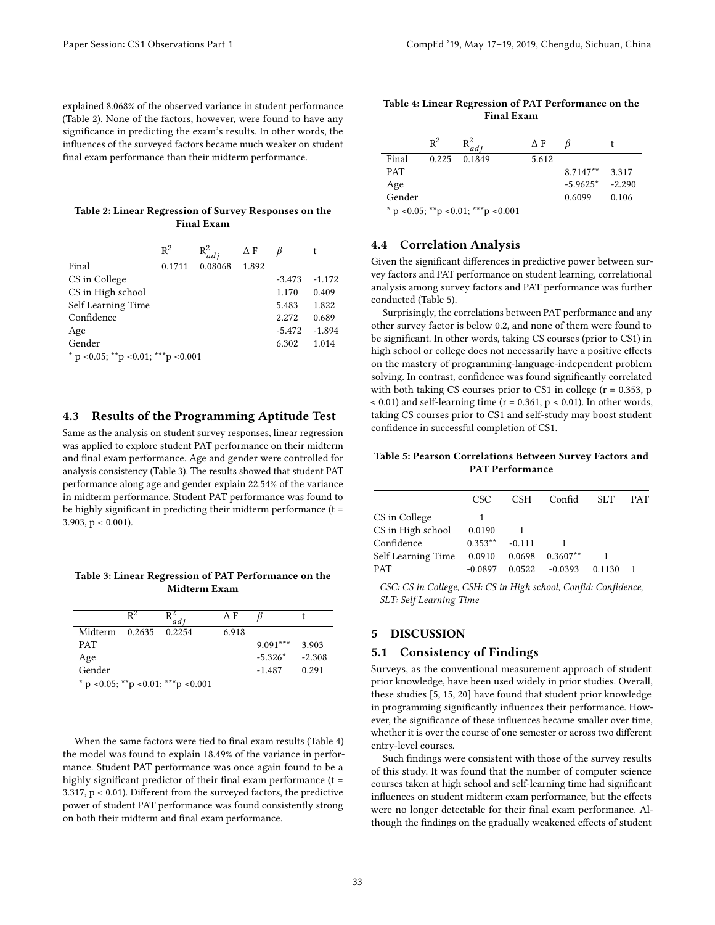explained 8.068% of the observed variance in student performance (Table [2\)](#page-3-0). None of the factors, however, were found to have any significance in predicting the exam's results. In other words, the influences of the surveyed factors became much weaker on student final exam performance than their midterm performance.

<span id="page-3-0"></span>

| Table 2: Linear Regression of Survey Responses on the |
|-------------------------------------------------------|
| <b>Final Exam</b>                                     |

|                    | $R^2$  | ad j    | ΔF    |          |          |
|--------------------|--------|---------|-------|----------|----------|
| Final              | 0.1711 | 0.08068 | 1.892 |          |          |
| CS in College      |        |         |       | $-3.473$ | $-1.172$ |
| CS in High school  |        |         |       | 1.170    | 0.409    |
| Self Learning Time |        |         |       | 5.483    | 1.822    |
| Confidence         |        |         |       | 2.272    | 0.689    |
| Age                |        |         |       | $-5.472$ | $-1.894$ |
| Gender             |        |         |       | 6.302    | 1.014    |
| . .                | .      |         |       |          |          |

 $*$  p <0.05;  $*$  $p$  <0.01;  $*$  $*$  $p$  <0.001

### 4.3 Results of the Programming Aptitude Test

Same as the analysis on student survey responses, linear regression was applied to explore student PAT performance on their midterm and final exam performance. Age and gender were controlled for analysis consistency (Table [3\)](#page-3-1). The results showed that student PAT performance along age and gender explain 22.54% of the variance in midterm performance. Student PAT performance was found to be highly significant in predicting their midterm performance (t = 3.903,  $p < 0.001$ ).

### <span id="page-3-1"></span>Table 3: Linear Regression of PAT Performance on the Midterm Exam

|            | $R^2$  | ad i                                                                                                                                                                                                                                                                                                                                                                                                   | ΔF    |            |          |
|------------|--------|--------------------------------------------------------------------------------------------------------------------------------------------------------------------------------------------------------------------------------------------------------------------------------------------------------------------------------------------------------------------------------------------------------|-------|------------|----------|
| Midterm    | 0.2635 | 0.2254                                                                                                                                                                                                                                                                                                                                                                                                 | 6.918 |            |          |
| <b>PAT</b> |        |                                                                                                                                                                                                                                                                                                                                                                                                        |       | $9.091***$ | 3.903    |
| Age        |        |                                                                                                                                                                                                                                                                                                                                                                                                        |       | $-5.326*$  | $-2.308$ |
| Gender     |        |                                                                                                                                                                                                                                                                                                                                                                                                        |       | $-1.487$   | 0.291    |
|            |        | * $0.07 \times 10^{-14} \times 10^{-14} \times 10^{-14} \times 10^{-14} \times 10^{-14} \times 10^{-14} \times 10^{-14} \times 10^{-14} \times 10^{-14} \times 10^{-14} \times 10^{-14} \times 10^{-14} \times 10^{-14} \times 10^{-14} \times 10^{-14} \times 10^{-14} \times 10^{-14} \times 10^{-14} \times 10^{-14} \times 10^{-14} \times 10^{-14} \times 10^{-14} \times 10^{-14} \times 10^{-1$ |       |            |          |

 $p$  < 0.05; \*\*p < 0.01; \*\*\*p < 0.001

When the same factors were tied to final exam results (Table [4\)](#page-3-2) the model was found to explain 18.49% of the variance in performance. Student PAT performance was once again found to be a highly significant predictor of their final exam performance  $(t =$ 3.317, p < 0.01). Different from the surveyed factors, the predictive power of student PAT performance was found consistently strong on both their midterm and final exam performance.

<span id="page-3-2"></span>

| Table 4: Linear Regression of PAT Performance on the |                   |  |  |
|------------------------------------------------------|-------------------|--|--|
|                                                      | <b>Final Exam</b> |  |  |

|            | $\mathsf{R}^2$ | `ad i  | ΛF    |                      |       |
|------------|----------------|--------|-------|----------------------|-------|
| Final      | 0.225          | 0.1849 | 5.612 |                      |       |
| <b>PAT</b> |                |        |       | $8.7147**$ 3.317     |       |
| Age        |                |        |       | $-5.9625^*$ $-2.290$ |       |
| Gender     |                |        |       | 0.6099               | 0.106 |

 $*$  p <0.05;  $*$  $*$ p <0.01;  $*$  $*$  $*$ p <0.001

### 4.4 Correlation Analysis

Given the significant differences in predictive power between survey factors and PAT performance on student learning, correlational analysis among survey factors and PAT performance was further conducted (Table 5).

Surprisingly, the correlations between PAT performance and any other survey factor is below 0.2, and none of them were found to be significant. In other words, taking CS courses (prior to CS1) in high school or college does not necessarily have a positive effects on the mastery of programming-language-independent problem solving. In contrast, confidence was found significantly correlated with both taking CS courses prior to CS1 in college  $(r = 0.353, p$  $<$  0.01) and self-learning time (r = 0.361, p  $<$  0.01). In other words, taking CS courses prior to CS1 and self-study may boost student confidence in successful completion of CS1.

Table 5: Pearson Correlations Between Survey Factors and PAT Performance

|                    | CSC       | CSH.     | Confid     | <b>SLT</b> | <b>PAT</b> |
|--------------------|-----------|----------|------------|------------|------------|
| CS in College      |           |          |            |            |            |
| CS in High school  | 0.0190    |          |            |            |            |
| Confidence         | $0.353**$ | $-0.111$ |            |            |            |
| Self Learning Time | 0.0910    | 0.0698   | $0.3607**$ |            |            |
| <b>PAT</b>         | $-0.0897$ | 0.0522   | $-0.0393$  | 0.1130     |            |

CSC: CS in College, CSH: CS in High school, Confid: Confidence, SLT: Self Learning Time

# 5 DISCUSSION

#### 5.1 Consistency of Findings

Surveys, as the conventional measurement approach of student prior knowledge, have been used widely in prior studies. Overall, these studies [\[5,](#page-5-12) [15,](#page-5-9) [20\]](#page-5-14) have found that student prior knowledge in programming significantly influences their performance. However, the significance of these influences became smaller over time, whether it is over the course of one semester or across two different entry-level courses.

Such findings were consistent with those of the survey results of this study. It was found that the number of computer science courses taken at high school and self-learning time had significant influences on student midterm exam performance, but the effects were no longer detectable for their final exam performance. Although the findings on the gradually weakened effects of student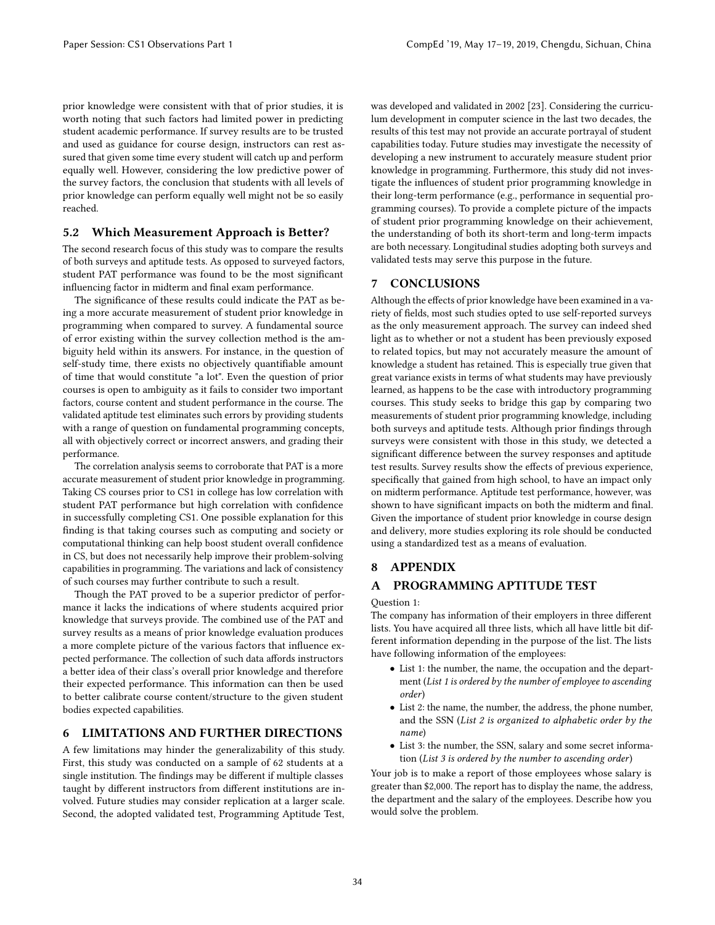prior knowledge were consistent with that of prior studies, it is worth noting that such factors had limited power in predicting student academic performance. If survey results are to be trusted and used as guidance for course design, instructors can rest assured that given some time every student will catch up and perform equally well. However, considering the low predictive power of the survey factors, the conclusion that students with all levels of prior knowledge can perform equally well might not be so easily reached.

### 5.2 Which Measurement Approach is Better?

The second research focus of this study was to compare the results of both surveys and aptitude tests. As opposed to surveyed factors, student PAT performance was found to be the most significant influencing factor in midterm and final exam performance.

The significance of these results could indicate the PAT as being a more accurate measurement of student prior knowledge in programming when compared to survey. A fundamental source of error existing within the survey collection method is the ambiguity held within its answers. For instance, in the question of self-study time, there exists no objectively quantifiable amount of time that would constitute "a lot". Even the question of prior courses is open to ambiguity as it fails to consider two important factors, course content and student performance in the course. The validated aptitude test eliminates such errors by providing students with a range of question on fundamental programming concepts, all with objectively correct or incorrect answers, and grading their performance.

The correlation analysis seems to corroborate that PAT is a more accurate measurement of student prior knowledge in programming. Taking CS courses prior to CS1 in college has low correlation with student PAT performance but high correlation with confidence in successfully completing CS1. One possible explanation for this finding is that taking courses such as computing and society or computational thinking can help boost student overall confidence in CS, but does not necessarily help improve their problem-solving capabilities in programming. The variations and lack of consistency of such courses may further contribute to such a result.

Though the PAT proved to be a superior predictor of performance it lacks the indications of where students acquired prior knowledge that surveys provide. The combined use of the PAT and survey results as a means of prior knowledge evaluation produces a more complete picture of the various factors that influence expected performance. The collection of such data affords instructors a better idea of their class's overall prior knowledge and therefore their expected performance. This information can then be used to better calibrate course content/structure to the given student bodies expected capabilities.

# 6 LIMITATIONS AND FURTHER DIRECTIONS

A few limitations may hinder the generalizability of this study. First, this study was conducted on a sample of 62 students at a single institution. The findings may be different if multiple classes taught by different instructors from different institutions are involved. Future studies may consider replication at a larger scale. Second, the adopted validated test, Programming Aptitude Test,

was developed and validated in 2002 [\[23\]](#page-6-1). Considering the curriculum development in computer science in the last two decades, the results of this test may not provide an accurate portrayal of student capabilities today. Future studies may investigate the necessity of developing a new instrument to accurately measure student prior knowledge in programming. Furthermore, this study did not investigate the influences of student prior programming knowledge in their long-term performance (e.g., performance in sequential programming courses). To provide a complete picture of the impacts of student prior programming knowledge on their achievement, the understanding of both its short-term and long-term impacts are both necessary. Longitudinal studies adopting both surveys and validated tests may serve this purpose in the future.

# 7 CONCLUSIONS

Although the effects of prior knowledge have been examined in a variety of fields, most such studies opted to use self-reported surveys as the only measurement approach. The survey can indeed shed light as to whether or not a student has been previously exposed to related topics, but may not accurately measure the amount of knowledge a student has retained. This is especially true given that great variance exists in terms of what students may have previously learned, as happens to be the case with introductory programming courses. This study seeks to bridge this gap by comparing two measurements of student prior programming knowledge, including both surveys and aptitude tests. Although prior findings through surveys were consistent with those in this study, we detected a significant difference between the survey responses and aptitude test results. Survey results show the effects of previous experience, specifically that gained from high school, to have an impact only on midterm performance. Aptitude test performance, however, was shown to have significant impacts on both the midterm and final. Given the importance of student prior knowledge in course design and delivery, more studies exploring its role should be conducted using a standardized test as a means of evaluation.

### 8 APPENDIX

# A PROGRAMMING APTITUDE TEST

Question 1:

The company has information of their employers in three different lists. You have acquired all three lists, which all have little bit different information depending in the purpose of the list. The lists have following information of the employees:

- List 1: the number, the name, the occupation and the department (List 1 is ordered by the number of employee to ascending order)
- List 2: the name, the number, the address, the phone number, and the SSN (List 2 is organized to alphabetic order by the name)
- List 3: the number, the SSN, salary and some secret information (List 3 is ordered by the number to ascending order)

Your job is to make a report of those employees whose salary is greater than \$2,000. The report has to display the name, the address, the department and the salary of the employees. Describe how you would solve the problem.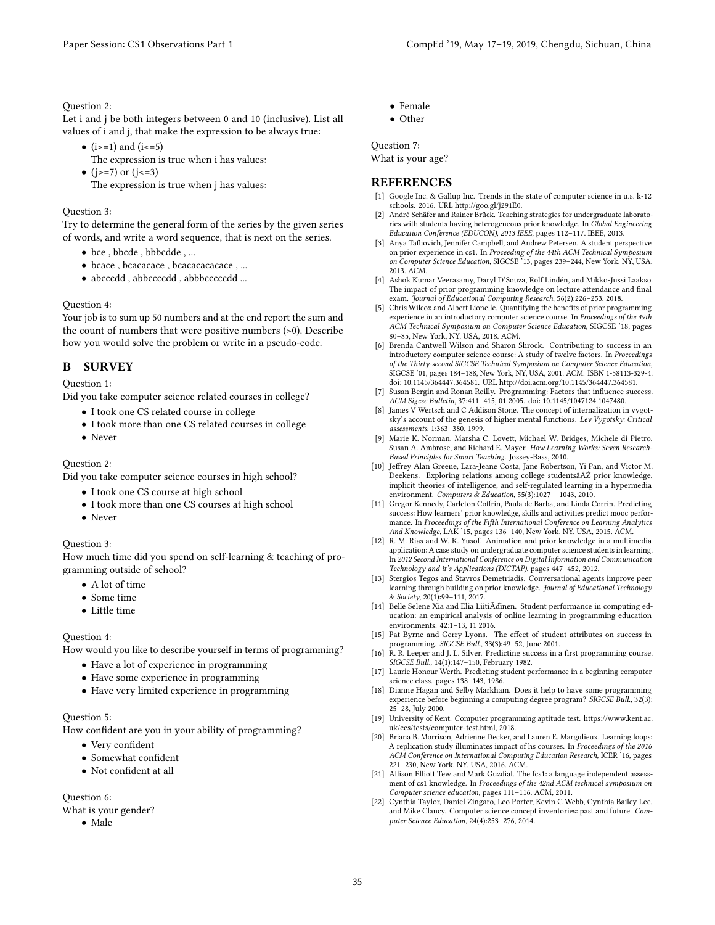### Question 2:

Let i and j be both integers between 0 and 10 (inclusive). List all values of i and j, that make the expression to be always true:

- $(i>=1)$  and  $(i<=5)$
- The expression is true when i has values:
- $(j>=7)$  or  $(j<=3)$ The expression is true when j has values:

# Question 3:

Try to determine the general form of the series by the given series of words, and write a word sequence, that is next on the series.

- bce , bbcde , bbbcdde , ...
- bcace , bcacacace , bcacacacacace , ...
- abcccdd , abbccccdd , abbbcccccdd ...

### Question 4:

Your job is to sum up 50 numbers and at the end report the sum and the count of numbers that were positive numbers (>0). Describe how you would solve the problem or write in a pseudo-code.

# B SURVEY

Question 1:

Did you take computer science related courses in college?

- I took one CS related course in college
- I took more than one CS related courses in college
- Never

### Question 2:

Did you take computer science courses in high school?

- I took one CS course at high school
- I took more than one CS courses at high school
- Never

### Question 3:

How much time did you spend on self-learning & teaching of programming outside of school?

- A lot of time
- Some time
- Little time

### Question 4:

How would you like to describe yourself in terms of programming?

- Have a lot of experience in programming
- Have some experience in programming
- Have very limited experience in programming

## Question 5:

How confident are you in your ability of programming?

- Very confident
- Somewhat confident
- Not confident at all

# Question 6:

- What is your gender?
	- Male
- Female
- Other

Question 7:

What is your age?

# REFERENCES

- <span id="page-5-0"></span>[1] Google Inc. & Gallup Inc. Trends in the state of computer science in u.s. k-12 schools. 2016. URL [http://goo.gl/j291E0.](http://goo.gl/j291E0)
- <span id="page-5-1"></span>[2] André Schäfer and Rainer Brück. Teaching strategies for undergraduate laboratories with students having heterogeneous prior knowledge. In Global Engineering Education Conference (EDUCON), 2013 IEEE, pages 112–117. IEEE, 2013.
- <span id="page-5-2"></span>[3] Anya Tafliovich, Jennifer Campbell, and Andrew Petersen. A student perspective on prior experience in cs1. In Proceeding of the 44th ACM Technical Symposium on Computer Science Education, SIGCSE '13, pages 239–244, New York, NY, USA, 2013. ACM.
- <span id="page-5-11"></span>[4] Ashok Kumar Veerasamy, Daryl D'Souza, Rolf Lindén, and Mikko-Jussi Laakso. The impact of prior programming knowledge on lecture attendance and final exam. Journal of Educational Computing Research, 56(2):226–253, 2018.
- <span id="page-5-12"></span>[5] Chris Wilcox and Albert Lionelle. Quantifying the benefits of prior programming experience in an introductory computer science course. In Proceedings of the 49th ACM Technical Symposium on Computer Science Education, SIGCSE '18, pages 80–85, New York, NY, USA, 2018. ACM.
- <span id="page-5-3"></span>[6] Brenda Cantwell Wilson and Sharon Shrock. Contributing to success in an introductory computer science course: A study of twelve factors. In Proceedings of the Thirty-second SIGCSE Technical Symposium on Computer Science Education, SIGCSE '01, pages 184–188, New York, NY, USA, 2001. ACM. ISBN 1-58113-329-4. doi: 10.1145/364447.364581. URL [http://doi.acm.org/10.1145/364447.364581.](http://doi.acm.org/10.1145/364447.364581)
- <span id="page-5-4"></span>[7] Susan Bergin and Ronan Reilly. Programming: Factors that influence success. ACM Sigcse Bulletin, 37:411–415, 01 2005. doi: 10.1145/1047124.1047480.
- <span id="page-5-5"></span>[8] James V Wertsch and C Addison Stone. The concept of internalization in vygotsky's account of the genesis of higher mental functions. Lev Vygotsky: Critical assessments, 1:363–380, 1999.
- <span id="page-5-6"></span>[9] Marie K. Norman, Marsha C. Lovett, Michael W. Bridges, Michele di Pietro, Susan A. Ambrose, and Richard E. Mayer. How Learning Works: Seven Research-Based Principles for Smart Teaching. Jossey-Bass, 2010.
- <span id="page-5-7"></span>[10] Jeffrey Alan Greene, Lara-Jeane Costa, Jane Robertson, Yi Pan, and Victor M. Deekens. Exploring relations among college studentsâĂŹ prior knowledge, implicit theories of intelligence, and self-regulated learning in a hypermedia environment. Computers & Education, 55(3):1027 – 1043, 2010.
- [11] Gregor Kennedy, Carleton Coffrin, Paula de Barba, and Linda Corrin. Predicting success: How learners' prior knowledge, skills and activities predict mooc performance. In Proceedings of the Fifth International Conference on Learning Analytics And Knowledge, LAK '15, pages 136–140, New York, NY, USA, 2015. ACM.
- [12] R. M. Rias and W. K. Yusof. Animation and prior knowledge in a multimedia application: A case study on undergraduate computer science students in learning. In 2012 Second International Conference on Digital Information and Communication Technology and it's Applications (DICTAP), pages 447–452, 2012.
- [13] Stergios Tegos and Stavros Demetriadis. Conversational agents improve peer learning through building on prior knowledge. Journal of Educational Technology & Society, 20(1):99–111, 2017.
- <span id="page-5-8"></span>[14] Belle Selene Xia and Elia LiitiÃďinen. Student performance in computing education: an empirical analysis of online learning in programming education environments. 42:1–13, 11 2016.
- <span id="page-5-9"></span>[15] Pat Byrne and Gerry Lyons. The effect of student attributes on success in programming. SIGCSE Bull., 33(3):49–52, June 2001.
- [16] R. R. Leeper and J. L. Silver. Predicting success in a first programming course. SIGCSE Bull., 14(1):147–150, February 1982.
- [17] Laurie Honour Werth. Predicting student performance in a beginning computer science class. pages 138–143, 1986.
- <span id="page-5-10"></span>[18] Dianne Hagan and Selby Markham. Does it help to have some programming experience before beginning a computing degree program? SIGCSE Bull., 32(3): 25–28, July 2000.
- <span id="page-5-13"></span>[19] University of Kent. Computer programming aptitude test. [https://www.kent.ac.](https://www.kent.ac.uk/ces/tests/computer-test.html) [uk/ces/tests/computer-test.html,](https://www.kent.ac.uk/ces/tests/computer-test.html) 2018.
- <span id="page-5-14"></span>[20] Briana B. Morrison, Adrienne Decker, and Lauren E. Margulieux. Learning loops: A replication study illuminates impact of hs courses. In Proceedings of the 2016 ACM Conference on International Computing Education Research, ICER<sup>5</sup>16, pages 221–230, New York, NY, USA, 2016. ACM.
- <span id="page-5-15"></span>[21] Allison Elliott Tew and Mark Guzdial. The fcs1: a language independent assessment of cs1 knowledge. In Proceedings of the 42nd ACM technical symposium on Computer science education, pages 111–116. ACM, 2011.
- <span id="page-5-16"></span>[22] Cynthia Taylor, Daniel Zingaro, Leo Porter, Kevin C Webb, Cynthia Bailey Lee, and Mike Clancy. Computer science concept inventories: past and future. Computer Science Education, 24(4):253–276, 2014.